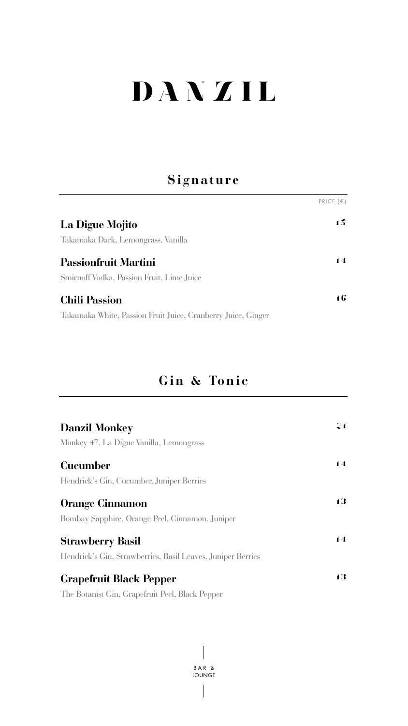# DANZIL

# **Signature**

|                                                              | PRICE $(\epsilon)$ |
|--------------------------------------------------------------|--------------------|
| La Digue Mojito                                              | 15                 |
| Takamaka Dark, Lemongrass, Vanilla                           |                    |
| <b>Passionfruit Martini</b>                                  | $\blacksquare$     |
| Smirnoff Vodka, Passion Fruit, Lime Juice                    |                    |
| <b>Chili Passion</b>                                         | 16                 |
| Takamaka White, Passion Fruit Juice, Cranberry Juice, Ginger |                    |

## **Gin & Tonic**

| <b>Danzil Monkey</b>                                        | 21 |
|-------------------------------------------------------------|----|
| Monkey 47, La Digue Vanilla, Lemongrass                     |    |
| <b>Cucumber</b>                                             | 14 |
| Hendrick's Gin, Cucumber, Juniper Berries                   |    |
| <b>Orange Cinnamon</b>                                      | 13 |
| Bombay Sapphire, Orange Peel, Cinnamon, Juniper             |    |
| <b>Strawberry Basil</b>                                     | 14 |
| Hendrick's Gin, Strawberries, Basil Leaves, Juniper Berries |    |
| <b>Grapefruit Black Pepper</b>                              | 13 |
| The Botanist Gin, Grapefruit Peel, Black Pepper             |    |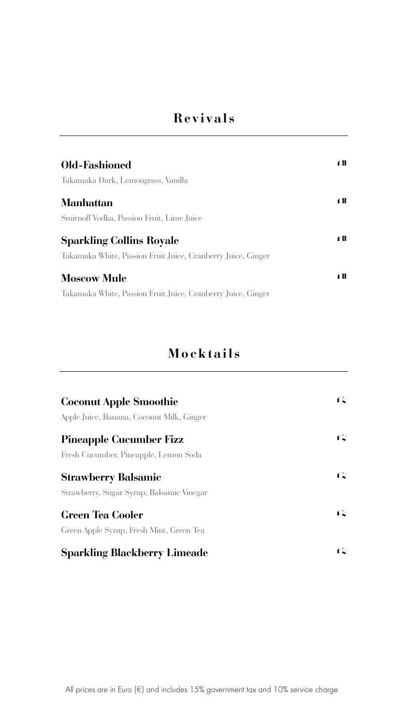# **Revivals**

| Old-Fashioned                                                | 18 |
|--------------------------------------------------------------|----|
| Takamaka Dark, Lemongrass, Vanilla                           |    |
| <b>Manhattan</b>                                             | 18 |
| Smirnoff Vodka, Passion Fruit, Lime Juice                    |    |
| <b>Sparkling Collins Royale</b>                              | 18 |
| Takamaka White, Passion Fruit Juice, Cranberry Juice, Ginger |    |
| <b>Moscow Mule</b>                                           | 18 |
| Takamaka White, Passion Fruit Juice, Cranberry Juice, Ginger |    |

## **Mocktails**

| <b>Coconut Apple Smoothie</b><br>Apple Juice, Banana, Coconut Milk, Ginger | 12 |
|----------------------------------------------------------------------------|----|
| <b>Pineapple Cucumber Fizz</b><br>Fresh Cucumber, Pineapple, Lemon Soda    | 12 |
| <b>Strawberry Balsamic</b><br>Strawberry, Sugar Syrup, Balsamic Vinegar    | 12 |
| <b>Green Tea Cooler</b><br>Green Apple Syrup, Fresh Mint, Green Tea        | 12 |
| <b>Sparkling Blackberry Limeade</b>                                        | 12 |

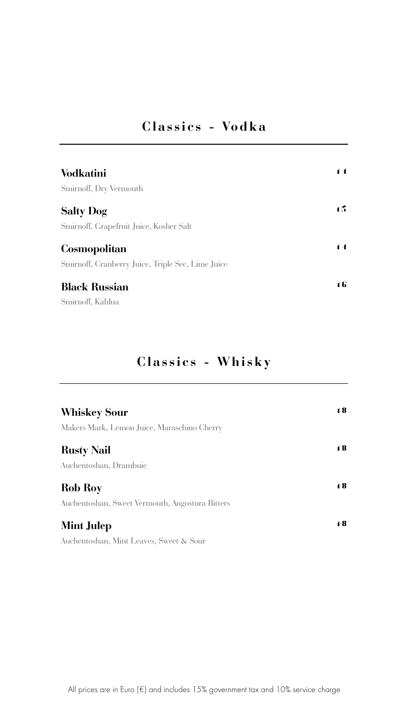## **Classics - Vodka**

| <b>Vodkatini</b>                                  | 14             |
|---------------------------------------------------|----------------|
| <b>Smirnoff, Dry Vermouth</b>                     |                |
| <b>Salty Dog</b>                                  | 15             |
| Smirnoff, Grapefruit Juice, Kosher Salt           |                |
| <b>Cosmopolitan</b>                               | $\blacksquare$ |
| Smirnoff, Cranberry Juice, Triple Sec, Lime Juice |                |
| <b>Black Russian</b>                              | 16             |
| Smirnoff, Kahlua                                  |                |

# **Classics - Whisky**

| <b>Whiskey Sour</b>                             | 18 |
|-------------------------------------------------|----|
| Makers Mark, Lemon Juice, Maraschino Cherry     |    |
| <b>Rusty Nail</b>                               | 18 |
| Auchentoshan, Drambuie                          |    |
| <b>Rob Roy</b>                                  | 18 |
| Auchentoshan, Sweet Vermouth, Angostura Bitters |    |
| <b>Mint Julep</b>                               | 18 |
| Auchentoshan, Mint Leaves, Sweet & Sour         |    |

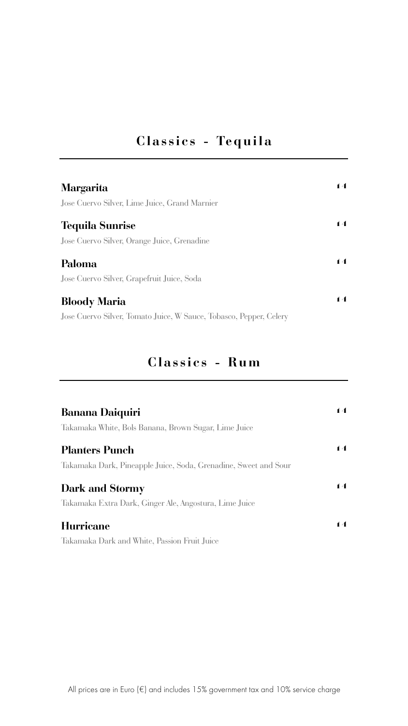## **Classics - Tequila**

| <b>Margarita</b>                                                   | $\blacksquare$ |
|--------------------------------------------------------------------|----------------|
| Jose Cuervo Silver, Lime Juice, Grand Marnier                      |                |
| <b>Tequila Sunrise</b>                                             | $\blacksquare$ |
| Jose Cuervo Silver, Orange Juice, Grenadine                        |                |
| Paloma                                                             | $\blacksquare$ |
| Jose Cuervo Silver, Grapefruit Juice, Soda                         |                |
| <b>Bloody Maria</b>                                                | $\blacksquare$ |
| Jose Cuervo Silver, Tomato Juice, W Sauce, Tobasco, Pepper, Celery |                |

## **Classics - Rum**

| <b>Banana Daiquiri</b>                                          | 14             |
|-----------------------------------------------------------------|----------------|
| Takamaka White, Bols Banana, Brown Sugar, Lime Juice            |                |
| <b>Planters Punch</b>                                           | 14             |
| Takamaka Dark, Pineapple Juice, Soda, Grenadine, Sweet and Sour |                |
| <b>Dark and Stormy</b>                                          | $\blacksquare$ |
| Takamaka Extra Dark, Ginger Ale, Angostura, Lime Juice          |                |
| Hurricane                                                       | $\blacksquare$ |
| Takamaka Dark and White, Passion Fruit Juice                    |                |

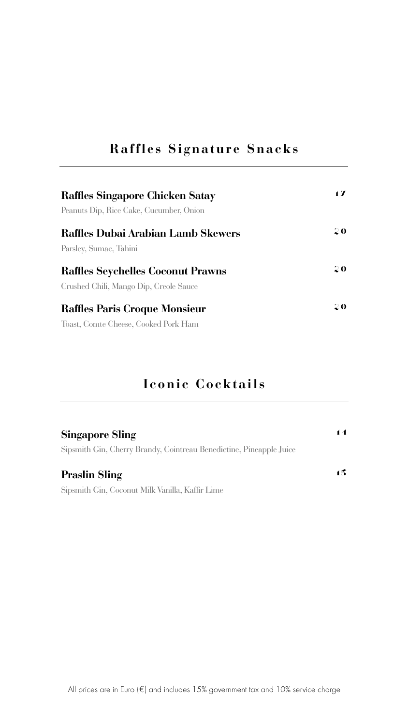## **Raffles Signature Snacks**

| <b>Raffles Singapore Chicken Satay</b>    | $\blacksquare$ |
|-------------------------------------------|----------------|
| Peanuts Dip, Rice Cake, Cucumber, Onion   |                |
| <b>Raffles Dubai Arabian Lamb Skewers</b> | 20             |
| Parsley, Sumac, Tahini                    |                |
| <b>Raffles Seychelles Coconut Prawns</b>  | 20             |
| Crushed Chili, Mango Dip, Creole Sauce    |                |
| <b>Raffles Paris Croque Monsieur</b>      | 20             |
| Toast, Comte Cheese, Cooked Pork Ham      |                |

## **Iconic Cocktails**

#### **Singapore Sling**

Sipsmith Gin, Cherry Brandy, Cointreau Benedictine, Pineapple Juice

#### **Praslin Sling**

Sipsmith Gin, Coconut Milk Vanilla, Kaffir Lime

1 5

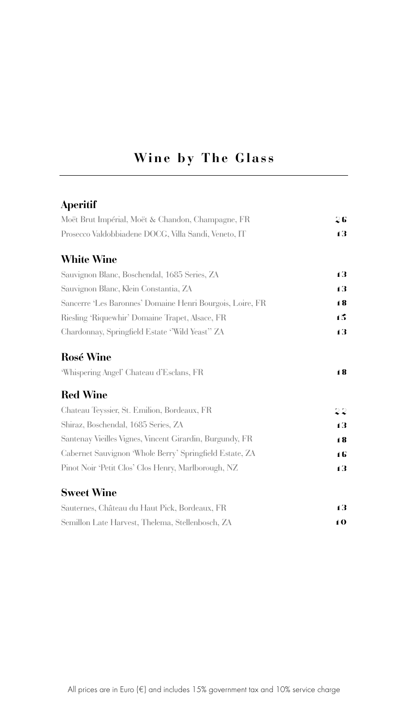# **Wine by The Glass**

#### **Aperitif**

| Moët Brut Impérial, Moët & Chandon, Champagne, FR         | 26 |
|-----------------------------------------------------------|----|
| Prosecco Valdobbiadene DOCG, Villa Sandi, Veneto, IT      | 13 |
| <b>White Wine</b>                                         |    |
| Sauvignon Blanc, Boschendal, 1685 Series, ZA              | 13 |
| Sauvignon Blanc, Klein Constantia, ZA                     | 13 |
| Sancerre 'Les Baronnes' Domaine Henri Bourgois, Loire, FR | 18 |
| Riesling 'Riquewhir' Domaine Trapet, Alsace, FR           | 15 |
| Chardonnay, Springfield Estate 'Wild Yeast'' ZA           | 13 |

#### **Rosé Wine**

| 18 |
|----|
|    |

#### **Red Wine**

| Chateau Teyssier, St. Emilion, Bordeaux, FR              | 22 |
|----------------------------------------------------------|----|
| Shiraz, Boschendal, 1685 Series, ZA                      | 13 |
| Santenay Vieilles Vignes, Vincent Girardin, Burgundy, FR | 18 |
| Cabernet Sauvignon 'Whole Berry' Springfield Estate, ZA  | 16 |
| Pinot Noir 'Petit Clos' Clos Henry, Marlborough, NZ      | 13 |

#### **Sweet Wine**

| Sauternes, Château du Haut Pick, Bordeaux, FR    | 13            |
|--------------------------------------------------|---------------|
| Semillon Late Harvest, Thelema, Stellenbosch, ZA | $\mathbf{10}$ |

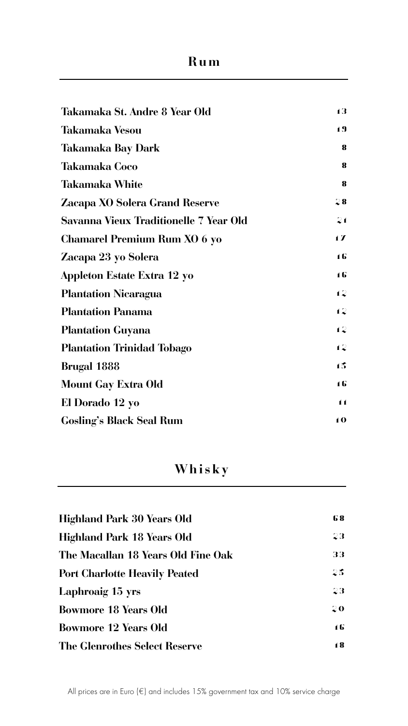# **Rum**

| Takamaka St. Andre 8 Year Old          | 13           |
|----------------------------------------|--------------|
| <b>Takamaka Vesou</b>                  | 19           |
| <b>Takamaka Bay Dark</b>               | $\bf{8}$     |
| <b>Takamaka Coco</b>                   | 8            |
| <b>Takamaka White</b>                  | 8            |
| <b>Zacapa XO Solera Grand Reserve</b>  | 28           |
| Savanna Vieux Traditionelle 7 Year Old | 21           |
| <b>Chamarel Premium Rum XO 6 yo</b>    | $\mathbf{1}$ |
| Zacapa 23 yo Solera                    | 16           |
| <b>Appleton Estate Extra 12 yo</b>     | 16           |
| <b>Plantation Nicaragua</b>            | 12           |
| <b>Plantation Panama</b>               | 12           |
| <b>Plantation Guyana</b>               | 12           |

| <b>Plantation Trinidad Tobago</b> | 12             |
|-----------------------------------|----------------|
| <b>Brugal 1888</b>                | 15             |
| <b>Mount Gay Extra Old</b>        | 16             |
| El Dorado 12 yo                   | $\blacksquare$ |
| <b>Gosling's Black Seal Rum</b>   | 10             |

| <b>Highland Park 30 Years Old</b>    | 68 |
|--------------------------------------|----|
| <b>Highland Park 18 Years Old</b>    | 23 |
| The Macallan 18 Years Old Fine Oak   | 33 |
| <b>Port Charlotte Heavily Peated</b> | 25 |
| <b>Laphroaig 15 yrs</b>              | 23 |
| <b>Bowmore 18 Years Old</b>          | 20 |
| <b>Bowmore 12 Years Old</b>          | 16 |
| The Glenrothes Select Reserve        | 18 |



# **Whisky**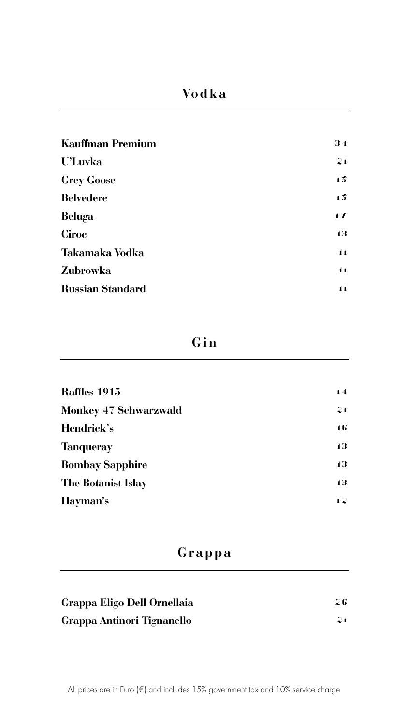### **Gin**

| Raffles 1915                 | 14 |
|------------------------------|----|
| <b>Monkey 47 Schwarzwald</b> | 21 |
| Hendrick's                   | 16 |
| <b>Tanqueray</b>             | 13 |
| <b>Bombay Sapphire</b>       | 13 |
| <b>The Botanist Islay</b>    | 13 |
| Hayman's                     | 12 |

## **Grappa**

| Grappa Eligo Dell Ornellaia | 26 |
|-----------------------------|----|
| Grappa Antinori Tignanello  | 21 |



## **Vodka**

| <b>Kauffman Premium</b> | 34             |
|-------------------------|----------------|
| <b>U'Luvka</b>          | 21             |
| <b>Grey Goose</b>       | 15             |
| <b>Belvedere</b>        | 15             |
| <b>Beluga</b>           | $\mathbf{1}$   |
| Ciroc                   | 13             |
| <b>Takamaka Vodka</b>   | $\blacksquare$ |
| <b>Zubrowka</b>         | $\blacksquare$ |
| <b>Russian Standard</b> | 11             |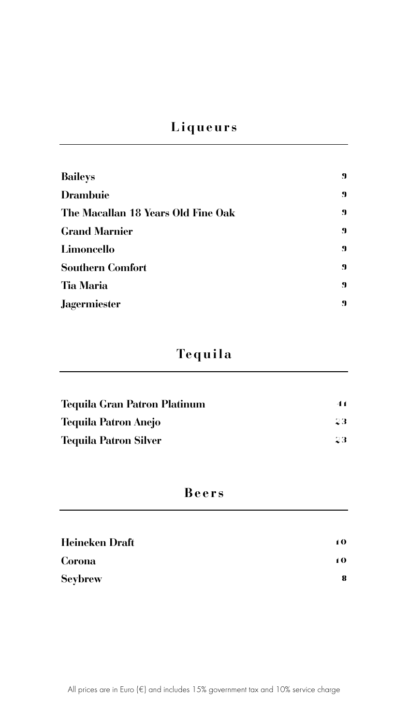# **Liqueurs**

| <b>Baileys</b>                     | $\mathbf 9$ |
|------------------------------------|-------------|
| <b>Drambuie</b>                    | $\mathbf 9$ |
| The Macallan 18 Years Old Fine Oak | $\mathbf 9$ |
| <b>Grand Marnier</b>               | $\mathbf 9$ |
| Limoncello                         | $\mathbf 9$ |
| <b>Southern Comfort</b>            | $\mathbf 9$ |
| <b>Tia Maria</b>                   | $\mathbf 9$ |
| <b>Jagermiester</b>                | $\mathbf 9$ |

# **Tequila**

| Tequila Gran Patron Platinum | 41 |
|------------------------------|----|
| <b>Tequila Patron Anejo</b>  | 23 |
| <b>Tequila Patron Silver</b> | 23 |

## **Beers**

| Heineken Draft | 10 |
|----------------|----|
| Corona         | 10 |
| <b>Seybrew</b> | 8  |

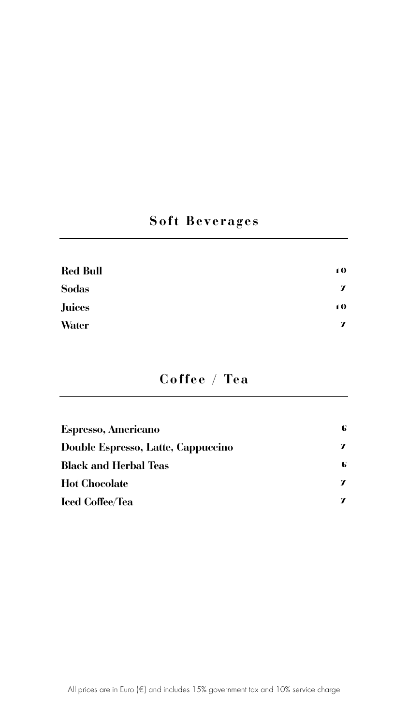# **Soft Beverages**

| <b>Red Bull</b> | 10               |
|-----------------|------------------|
| <b>Sodas</b>    | $\boldsymbol{L}$ |
| <b>Juices</b>   | 10               |
| <b>Water</b>    | $\mathbf T$      |

## **Coffee / Tea**

| Espresso, Americano                | 6 |
|------------------------------------|---|
| Double Espresso, Latte, Cappuccino |   |
| <b>Black and Herbal Teas</b>       | 6 |
| <b>Hot Chocolate</b>               |   |
| <b>Iced Coffee/Tea</b>             |   |